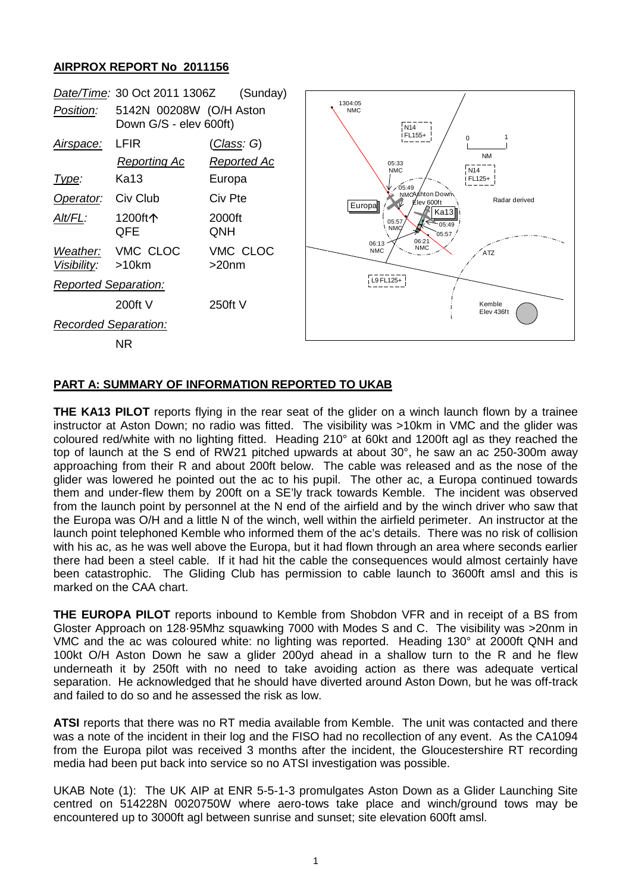## **AIRPROX REPORT No 2011156**



## **PART A: SUMMARY OF INFORMATION REPORTED TO UKAB**

**THE KA13 PILOT** reports flying in the rear seat of the glider on a winch launch flown by a trainee instructor at Aston Down; no radio was fitted. The visibility was >10km in VMC and the glider was coloured red/white with no lighting fitted. Heading 210° at 60kt and 1200ft agl as they reached the top of launch at the S end of RW21 pitched upwards at about 30°, he saw an ac 250-300m away approaching from their R and about 200ft below. The cable was released and as the nose of the glider was lowered he pointed out the ac to his pupil. The other ac, a Europa continued towards them and under-flew them by 200ft on a SE'ly track towards Kemble. The incident was observed from the launch point by personnel at the N end of the airfield and by the winch driver who saw that the Europa was O/H and a little N of the winch, well within the airfield perimeter. An instructor at the launch point telephoned Kemble who informed them of the ac's details. There was no risk of collision with his ac, as he was well above the Europa, but it had flown through an area where seconds earlier there had been a steel cable. If it had hit the cable the consequences would almost certainly have been catastrophic. The Gliding Club has permission to cable launch to 3600ft amsl and this is marked on the CAA chart.

**THE EUROPA PILOT** reports inbound to Kemble from Shobdon VFR and in receipt of a BS from Gloster Approach on 128·95Mhz squawking 7000 with Modes S and C. The visibility was >20nm in VMC and the ac was coloured white: no lighting was reported. Heading 130° at 2000ft QNH and 100kt O/H Aston Down he saw a glider 200yd ahead in a shallow turn to the R and he flew underneath it by 250ft with no need to take avoiding action as there was adequate vertical separation. He acknowledged that he should have diverted around Aston Down, but he was off-track and failed to do so and he assessed the risk as low.

**ATSI** reports that there was no RT media available from Kemble. The unit was contacted and there was a note of the incident in their log and the FISO had no recollection of any event. As the CA1094 from the Europa pilot was received 3 months after the incident, the Gloucestershire RT recording media had been put back into service so no ATSI investigation was possible.

UKAB Note (1): The UK AIP at ENR 5-5-1-3 promulgates Aston Down as a Glider Launching Site centred on 514228N 0020750W where aero-tows take place and winch/ground tows may be encountered up to 3000ft agl between sunrise and sunset; site elevation 600ft amsl.